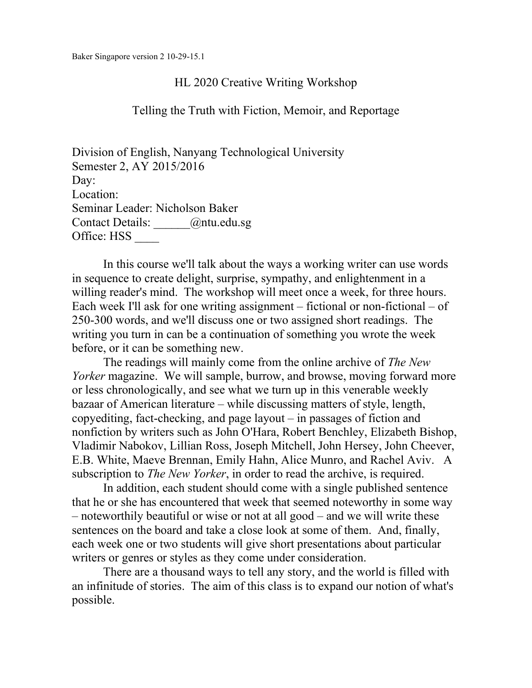### HL 2020 Creative Writing Workshop

#### Telling the Truth with Fiction, Memoir, and Reportage

Division of English, Nanyang Technological University Semester 2, AY 2015/2016 Day: Location: Seminar Leader: Nicholson Baker Contact Details: \_\_\_\_\_\_@ntu.edu.sg Office: HSS \_\_\_\_

In this course we'll talk about the ways a working writer can use words in sequence to create delight, surprise, sympathy, and enlightenment in a willing reader's mind. The workshop will meet once a week, for three hours. Each week I'll ask for one writing assignment – fictional or non-fictional – of 250-300 words, and we'll discuss one or two assigned short readings. The writing you turn in can be a continuation of something you wrote the week before, or it can be something new.

The readings will mainly come from the online archive of *The New Yorker* magazine. We will sample, burrow, and browse, moving forward more or less chronologically, and see what we turn up in this venerable weekly bazaar of American literature – while discussing matters of style, length, copyediting, fact-checking, and page layout – in passages of fiction and nonfiction by writers such as John O'Hara, Robert Benchley, Elizabeth Bishop, Vladimir Nabokov, Lillian Ross, Joseph Mitchell, John Hersey, John Cheever, E.B. White, Maeve Brennan, Emily Hahn, Alice Munro, and Rachel Aviv. A subscription to *The New Yorker*, in order to read the archive, is required.

In addition, each student should come with a single published sentence that he or she has encountered that week that seemed noteworthy in some way – noteworthily beautiful or wise or not at all good – and we will write these sentences on the board and take a close look at some of them. And, finally, each week one or two students will give short presentations about particular writers or genres or styles as they come under consideration.

There are a thousand ways to tell any story, and the world is filled with an infinitude of stories. The aim of this class is to expand our notion of what's possible.